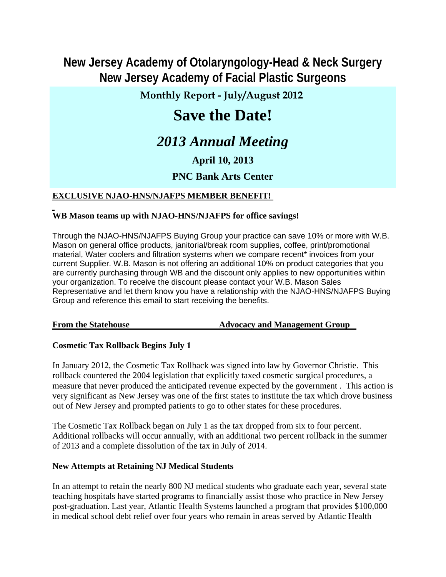# **New Jersey Academy of Otolaryngology-Head & Neck Surgery New Jersey Academy of Facial Plastic Surgeons**

## **Monthly Report - July/August 2012**

# **Save the Date!**

# *2013 Annual Meeting*

## **April 10, 2013**

## **PNC Bank Arts Center**

### **EXCLUSIVE NJAO-HNS/NJAFPS MEMBER BENEFIT!**

#### **WB Mason teams up with NJAO-HNS/NJAFPS for office savings!**

Through the NJAO-HNS/NJAFPS Buying Group your practice can save 10% or more with W.B. Mason on general office products, janitorial/break room supplies, coffee, print/promotional material, Water coolers and filtration systems when we compare recent\* invoices from your current Supplier. W.B. Mason is not offering an additional 10% on product categories that you are currently purchasing through WB and the discount only applies to new opportunities within your organization. To receive the discount please contact your W.B. Mason Sales Representative and let them know you have a relationship with the NJAO-HNS/NJAFPS Buying Group and reference this email to start receiving the benefits.

**From the Statehouse The Statehouse Advocacy and Management Group** 

#### **Cosmetic Tax Rollback Begins July 1**

In January 2012, the Cosmetic Tax Rollback was signed into law by Governor Christie. This rollback countered the 2004 legislation that explicitly taxed cosmetic surgical procedures, a measure that never produced the anticipated revenue expected by the government . This action is very significant as New Jersey was one of the first states to institute the tax which drove business out of New Jersey and prompted patients to go to other states for these procedures.

The Cosmetic Tax Rollback began on July 1 as the tax dropped from six to four percent. Additional rollbacks will occur annually, with an additional two percent rollback in the summer of 2013 and a complete dissolution of the tax in July of 2014.

#### **New Attempts at Retaining NJ Medical Students**

In an attempt to retain the nearly 800 NJ medical students who graduate each year, several state teaching hospitals have started programs to financially assist those who practice in New Jersey post-graduation. Last year, Atlantic Health Systems launched a program that provides \$100,000 in medical school debt relief over four years who remain in areas served by Atlantic Health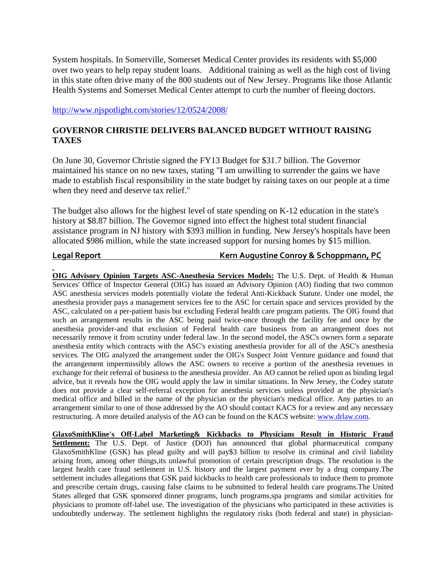System hospitals. In Somerville, Somerset Medical Center provides its residents with \$5,000 over two years to help repay student loans. Additional training as well as the high cost of living in this state often drive many of the 800 students out of New Jersey. Programs like those Atlantic Health Systems and Somerset Medical Center attempt to curb the number of fleeing doctors.

http://www.njspotlight.com/stories/12/0524/2008/

#### **GOVERNOR CHRISTIE DELIVERS BALANCED BUDGET WITHOUT RAISING TAXES**

On June 30, Governor Christie signed the FY13 Budget for \$31.7 billion. The Governor maintained his stance on no new taxes, stating "I am unwilling to surrender the gains we have made to establish fiscal responsibility in the state budget by raising taxes on our people at a time when they need and deserve tax relief."

The budget also allows for the highest level of state spending on K-12 education in the state's history at \$8.87 billion. The Governor signed into effect the highest total student financial assistance program in NJ history with \$393 million in funding. New Jersey's hospitals have been allocated \$986 million, while the state increased support for nursing homes by \$15 million.

#### **Legal Report Kern Augustine Conroy & Schoppmann, PC**

**OIG Advisory Opinion Targets ASC-Anesthesia Services Models:** The U.S. Dept. of Health & Human Services' Office of Inspector General (OIG) has issued an Advisory Opinion (AO) finding that two common ASC anesthesia services models potentially violate the federal Anti-Kickback Statute. Under one model, the anesthesia provider pays a management services fee to the ASC for certain space and services provided by the ASC, calculated on a per-patient basis but excluding Federal health care program patients. The OIG found that such an arrangement results in the ASC being paid twice-once through the facility fee and once by the anesthesia provider-and that exclusion of Federal health care business from an arrangement does not necessarily remove it from scrutiny under federal law. In the second model, the ASC's owners form a separate anesthesia entity which contracts with the ASC's existing anesthesia provider for all of the ASC's anesthesia services. The OIG analyzed the arrangement under the OIG's Suspect Joint Venture guidance and found that the arrangement impermissibly allows the ASC owners to receive a portion of the anesthesia revenues in exchange for their referral of business to the anesthesia provider. An AO cannot be relied upon as binding legal advice, but it reveals how the OIG would apply the law in similar situations. In New Jersey, the Codey statute does not provide a clear self-referral exception for anesthesia services unless provided at the physician's medical office and billed in the name of the physician or the physician's medical office. Any parties to an arrangement similar to one of those addressed by the AO should contact KACS for a review and any necessary restructuring. A more detailed analysis of the AO can be found on the KACS website: www.drlaw.com.

**GlaxoSmithKline's Off-Label Marketing& Kickbacks to Physicians Result in Historic Fraud SETTLEMENT CONSTRAINS TO A SECONDUCT SETTLEMENT CONSTRAINS TO A SET LARGE SETTLEMENT COMPANY** Settlement: The U.S. Dept. of Justice (DOJ) has announced that global pharmaceutical company GlaxoSmithKline (GSK) has plead guilty and will pay\$3 billion to resolve its criminal and civil liability arising from, among other things,its unlawful promotion of certain prescription drugs. The resolution is the largest health care fraud settlement in U.S. history and the largest payment ever by a drug company.The settlement includes allegations that GSK paid kickbacks to health care professionals to induce them to promote and prescribe certain drugs, causing false claims to be submitted to federal health care programs.The United States alleged that GSK sponsored dinner programs, lunch programs,spa programs and similar activities for physicians to promote off-label use. The investigation of the physicians who participated in these activities is undoubtedly underway. The settlement highlights the regulatory risks (both federal and state) in physician